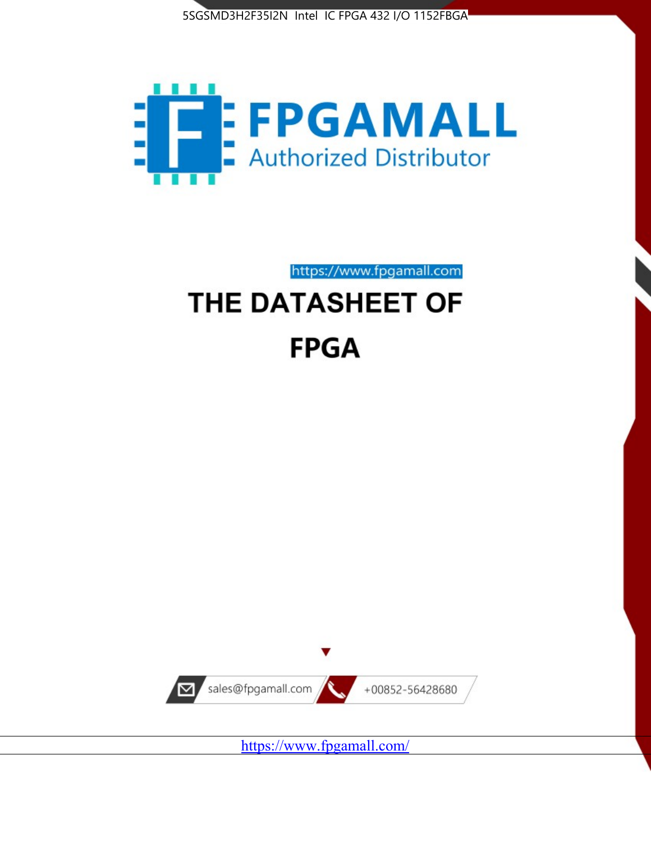



https://www.fpgamall.com THE DATASHEET OF

# **FPGA**



<https://www.fpgamall.com/>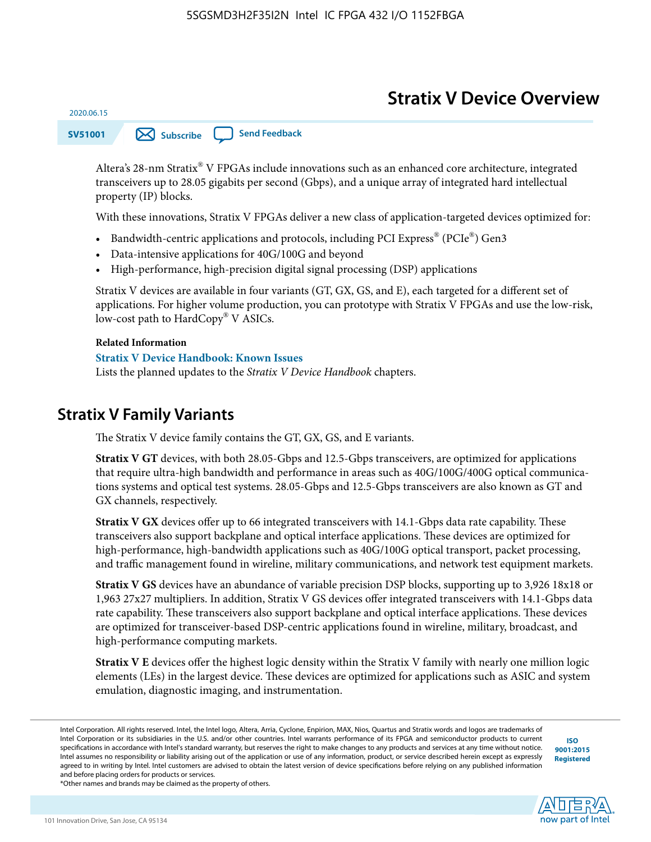# **Stratix V Device Overview**

**SV51001 [Subscribe](https://www.altera.com/servlets/subscriptions/alert?id=SV51001) [Send Feedback](mailto:FPGAtechdocfeedback@intel.com?subject=Feedback%20on%20(SV51001%202020.06.15)%20Stratix%20V%20Device%20Overview&body=We%20appreciate%20your%20feedback.%20In%20your%20comments,%20also%20specify%20the%20page%20number%20or%20paragraph.%20Thank%20you.)** 

Altera's 28-nm Stratix® V FPGAs include innovations such as an enhanced core architecture, integrated transceivers up to 28.05 gigabits per second (Gbps), and a unique array of integrated hard intellectual property (IP) blocks.

With these innovations, Stratix V FPGAs deliver a new class of application-targeted devices optimized for:

- Bandwidth-centric applications and protocols, including PCI Express® (PCIe®) Gen3
- Data-intensive applications for 40G/100G and beyond
- High-performance, high-precision digital signal processing (DSP) applications

Stratix V devices are available in four variants (GT, GX, GS, and E), each targeted for a different set of applications. For higher volume production, you can prototype with Stratix V FPGAs and use the low-risk, low-cost path to HardCopy® V ASICs.

#### **Related Information**

2020.06.15

#### **[Stratix V Device Handbook: Known Issues](http://www.altera.com/support/kdb/solutions/rd08242010_83.html)**

Lists the planned updates to the *Stratix V Device Handbook* chapters.

### **Stratix V Family Variants**

The Stratix V device family contains the GT, GX, GS, and E variants.

**Stratix V GT** devices, with both 28.05-Gbps and 12.5-Gbps transceivers, are optimized for applications that require ultra-high bandwidth and performance in areas such as 40G/100G/400G optical communica‐ tions systems and optical test systems. 28.05-Gbps and 12.5-Gbps transceivers are also known as GT and GX channels, respectively.

**Stratix V GX** devices offer up to 66 integrated transceivers with 14.1-Gbps data rate capability. These transceivers also support backplane and optical interface applications. These devices are optimized for high-performance, high-bandwidth applications such as 40G/100G optical transport, packet processing, and traffic management found in wireline, military communications, and network test equipment markets.

**Stratix V GS** devices have an abundance of variable precision DSP blocks, supporting up to 3,926 18x18 or 1,963 27x27 multipliers. In addition, Stratix V GS devices offer integrated transceivers with 14.1-Gbps data rate capability. These transceivers also support backplane and optical interface applications. These devices are optimized for transceiver-based DSP-centric applications found in wireline, military, broadcast, and high-performance computing markets.

**Stratix V E** devices offer the highest logic density within the Stratix V family with nearly one million logic elements (LEs) in the largest device. These devices are optimized for applications such as ASIC and system emulation, diagnostic imaging, and instrumentation.

**[ISO](http://www.altera.com/support/devices/reliability/certifications/rel-certifications.html) [9001:2015](http://www.altera.com/support/devices/reliability/certifications/rel-certifications.html) [Registered](http://www.altera.com/support/devices/reliability/certifications/rel-certifications.html)**



\*Other names and brands may be claimed as the property of others.

Intel Corporation. All rights reserved. Intel, the Intel logo, Altera, Arria, Cyclone, Enpirion, MAX, Nios, Quartus and Stratix words and logos are trademarks of Intel Corporation or its subsidiaries in the U.S. and/or other countries. Intel warrants performance of its FPGA and semiconductor products to current specifications in accordance with Intel's standard warranty, but reserves the right to make changes to any products and services at any time without notice. Intel assumes no responsibility or liability arising out of the application or use of any information, product, or service described herein except as expressly agreed to in writing by Intel. Intel customers are advised to obtain the latest version of device specifications before relying on any published information and before placing orders for products or services.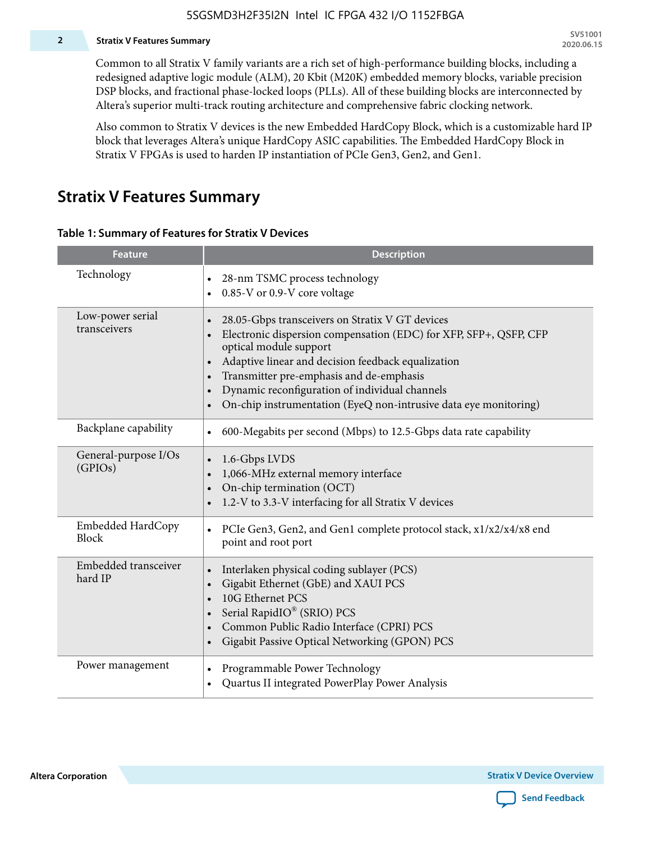#### **2 Stratix V Features Summary**

Common to all Stratix V family variants are a rich set of high-performance building blocks, including a redesigned adaptive logic module (ALM), 20 Kbit (M20K) embedded memory blocks, variable precision DSP blocks, and fractional phase-locked loops (PLLs). All of these building blocks are interconnected by Altera's superior multi-track routing architecture and comprehensive fabric clocking network.

Also common to Stratix V devices is the new Embedded HardCopy Block, which is a customizable hard IP block that leverages Altera's unique HardCopy ASIC capabilities. The Embedded HardCopy Block in Stratix V FPGAs is used to harden IP instantiation of PCIe Gen3, Gen2, and Gen1.

### **Stratix V Features Summary**

#### **Table 1: Summary of Features for Stratix V Devices**

| <b>Feature</b>                    | <b>Description</b>                                                                                                                                                                                                                                                                                                                                                                                                         |
|-----------------------------------|----------------------------------------------------------------------------------------------------------------------------------------------------------------------------------------------------------------------------------------------------------------------------------------------------------------------------------------------------------------------------------------------------------------------------|
| Technology                        | 28-nm TSMC process technology<br>0.85-V or 0.9-V core voltage                                                                                                                                                                                                                                                                                                                                                              |
| Low-power serial<br>transceivers  | 28.05-Gbps transceivers on Stratix V GT devices<br>$\bullet$<br>Electronic dispersion compensation (EDC) for XFP, SFP+, QSFP, CFP<br>optical module support<br>Adaptive linear and decision feedback equalization<br>$\bullet$<br>Transmitter pre-emphasis and de-emphasis<br>Dynamic reconfiguration of individual channels<br>$\bullet$<br>On-chip instrumentation (EyeQ non-intrusive data eye monitoring)<br>$\bullet$ |
| Backplane capability              | 600-Megabits per second (Mbps) to 12.5-Gbps data rate capability<br>$\bullet$                                                                                                                                                                                                                                                                                                                                              |
| General-purpose I/Os<br>(GPIOs)   | 1.6-Gbps LVDS<br>1,066-MHz external memory interface<br>$\bullet$<br>On-chip termination (OCT)<br>$\bullet$<br>1.2-V to 3.3-V interfacing for all Stratix V devices                                                                                                                                                                                                                                                        |
| Embedded HardCopy<br><b>Block</b> | PCIe Gen3, Gen2, and Gen1 complete protocol stack, x1/x2/x4/x8 end<br>$\bullet$<br>point and root port                                                                                                                                                                                                                                                                                                                     |
| Embedded transceiver<br>hard IP   | Interlaken physical coding sublayer (PCS)<br>$\bullet$<br>Gigabit Ethernet (GbE) and XAUI PCS<br>$\bullet$<br>10G Ethernet PCS<br>Serial RapidIO® (SRIO) PCS<br>$\bullet$<br>Common Public Radio Interface (CPRI) PCS<br>$\bullet$<br>Gigabit Passive Optical Networking (GPON) PCS<br>$\bullet$                                                                                                                           |
| Power management                  | Programmable Power Technology<br>$\bullet$<br>Quartus II integrated PowerPlay Power Analysis<br>$\bullet$                                                                                                                                                                                                                                                                                                                  |

**Altera Corporation** 

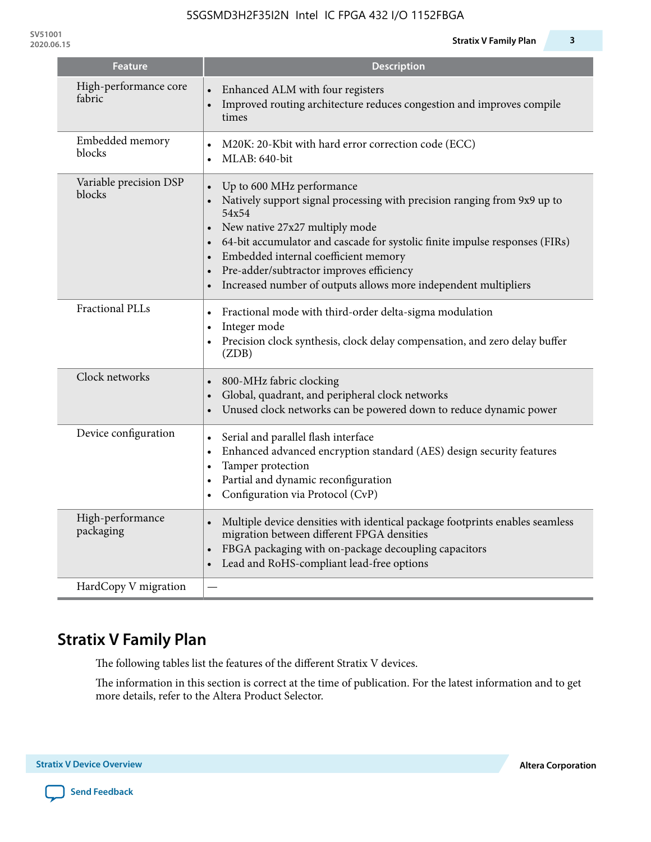| <b>Feature</b>                   | <b>Description</b>                                                                                                                                                                                                                                                                                                                                                                                                                                      |
|----------------------------------|---------------------------------------------------------------------------------------------------------------------------------------------------------------------------------------------------------------------------------------------------------------------------------------------------------------------------------------------------------------------------------------------------------------------------------------------------------|
| High-performance core<br>fabric  | Enhanced ALM with four registers<br>Improved routing architecture reduces congestion and improves compile<br>times                                                                                                                                                                                                                                                                                                                                      |
| Embedded memory<br>blocks        | M20K: 20-Kbit with hard error correction code (ECC)<br>$\bullet$<br>MLAB: 640-bit<br>$\bullet$                                                                                                                                                                                                                                                                                                                                                          |
| Variable precision DSP<br>blocks | Up to 600 MHz performance<br>$\bullet$<br>Natively support signal processing with precision ranging from 9x9 up to<br>54x54<br>New native 27x27 multiply mode<br>$\bullet$<br>64-bit accumulator and cascade for systolic finite impulse responses (FIRs)<br>$\bullet$<br>Embedded internal coefficient memory<br>$\bullet$<br>Pre-adder/subtractor improves efficiency<br>$\bullet$<br>Increased number of outputs allows more independent multipliers |
| <b>Fractional PLLs</b>           | Fractional mode with third-order delta-sigma modulation<br>Integer mode<br>$\bullet$<br>Precision clock synthesis, clock delay compensation, and zero delay buffer<br>$\bullet$<br>(ZDB)                                                                                                                                                                                                                                                                |
| Clock networks                   | 800-MHz fabric clocking<br>$\bullet$<br>Global, quadrant, and peripheral clock networks<br>$\bullet$<br>Unused clock networks can be powered down to reduce dynamic power<br>$\bullet$                                                                                                                                                                                                                                                                  |
| Device configuration             | Serial and parallel flash interface<br>$\bullet$<br>Enhanced advanced encryption standard (AES) design security features<br>$\bullet$<br>Tamper protection<br>$\bullet$<br>Partial and dynamic reconfiguration<br>$\bullet$<br>Configuration via Protocol (CvP)<br>$\bullet$                                                                                                                                                                            |
| High-performance<br>packaging    | Multiple device densities with identical package footprints enables seamless<br>$\bullet$<br>migration between different FPGA densities<br>FBGA packaging with on-package decoupling capacitors<br>$\bullet$<br>Lead and RoHS-compliant lead-free options<br>$\bullet$                                                                                                                                                                                  |
| HardCopy V migration             |                                                                                                                                                                                                                                                                                                                                                                                                                                                         |

# **Stratix V Family Plan**

The following tables list the features of the different Stratix V devices.

The information in this section is correct at the time of publication. For the latest information and to get more details, refer to the Altera Product Selector.

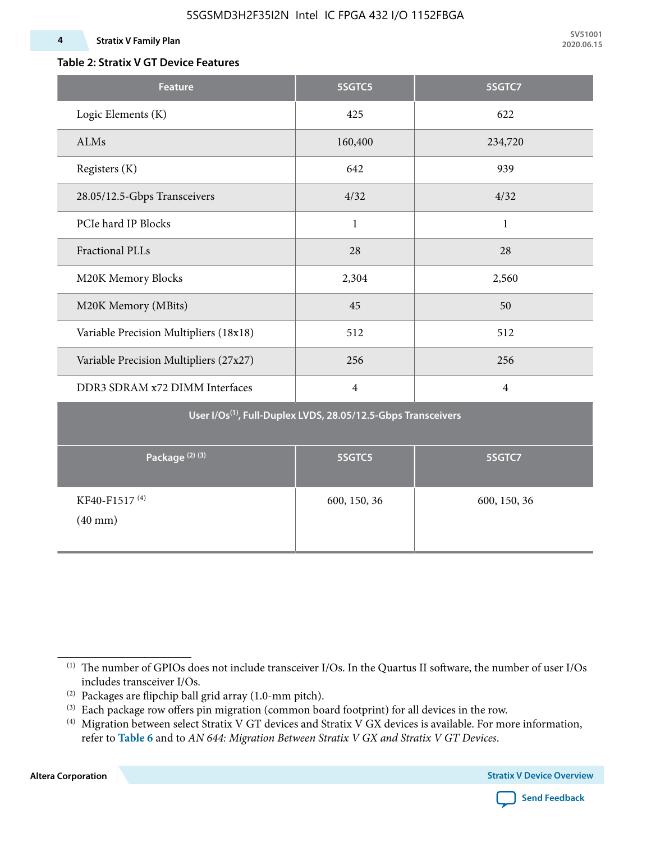#### **4 Stratix V Family Plan**

### **Table 2: Stratix V GT Device Features**

| <b>Feature</b>                                                            | 5SGTC5         | 5SGTC7         |  |  |  |  |  |  |
|---------------------------------------------------------------------------|----------------|----------------|--|--|--|--|--|--|
| Logic Elements (K)                                                        | 425            | 622            |  |  |  |  |  |  |
| ALMs                                                                      | 160,400        | 234,720        |  |  |  |  |  |  |
| Registers (K)                                                             | 642            | 939            |  |  |  |  |  |  |
| 28.05/12.5-Gbps Transceivers                                              | 4/32           | 4/32           |  |  |  |  |  |  |
| PCIe hard IP Blocks                                                       | $\mathbf{1}$   | $\mathbf{1}$   |  |  |  |  |  |  |
| <b>Fractional PLLs</b>                                                    | 28             | 28             |  |  |  |  |  |  |
| M20K Memory Blocks                                                        | 2,304          | 2,560          |  |  |  |  |  |  |
| M20K Memory (MBits)                                                       | 45             | 50             |  |  |  |  |  |  |
| Variable Precision Multipliers (18x18)                                    | 512            | 512            |  |  |  |  |  |  |
| Variable Precision Multipliers (27x27)                                    | 256            | 256            |  |  |  |  |  |  |
| DDR3 SDRAM x72 DIMM Interfaces                                            | $\overline{4}$ | $\overline{4}$ |  |  |  |  |  |  |
| User I/Os <sup>(1)</sup> , Full-Duplex LVDS, 28.05/12.5-Gbps Transceivers |                |                |  |  |  |  |  |  |
| Package <sup>(2)(3)</sup>                                                 | 5SGTC5         | 5SGTC7         |  |  |  |  |  |  |
| KF40-F1517 <sup>(4)</sup><br>$(40$ mm $)$                                 | 600, 150, 36   | 600, 150, 36   |  |  |  |  |  |  |

**Altera Corporation** 



<sup>(1)</sup> The number of GPIOs does not include transceiver I/Os. In the Quartus II software, the number of user I/Os includes transceiver I/Os.

 $^{(2)}$  Packages are flipchip ball grid array (1.0-mm pitch).

<sup>(3)</sup> Each package row offers pin migration (common board footprint) for all devices in the row.

<sup>(4)</sup> Migration between select Stratix V GT devices and Stratix V GX devices is available. For more information, refer to **Table 6** and to *AN 644: Migration Between Stratix V GX and Stratix V GT Devices*.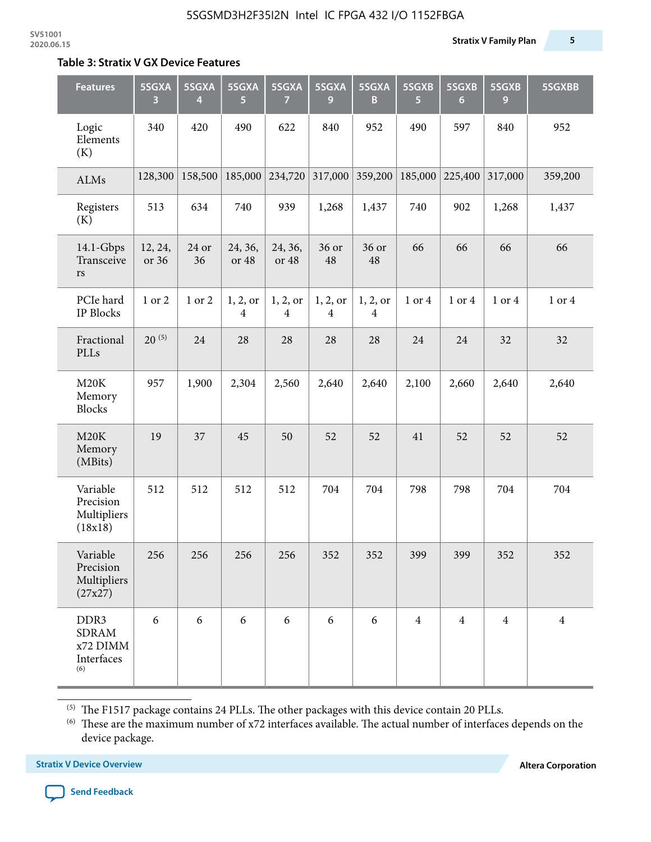#### **Table 3: Stratix V GX Device Features**

| <b>Features</b>                                                   | 5SGXA<br>3       | 5SGXA<br>4  | 5SGXA<br>5                 | 5SGXA<br>7                 | 5SGXA<br>9                 | 5SGXA<br>B                 | 5SGXB<br>5     | 5SGXB<br>$6\phantom{1}$ | 5SGXB<br>9     | 5SGXBB         |
|-------------------------------------------------------------------|------------------|-------------|----------------------------|----------------------------|----------------------------|----------------------------|----------------|-------------------------|----------------|----------------|
| Logic<br>Elements<br>(K)                                          | 340              | 420         | 490                        | 622                        | 840                        | 952                        | 490            | 597                     | 840            | 952            |
| ALMs                                                              | 128,300          | 158,500     | 185,000                    | 234,720                    | 317,000                    | 359,200                    | 185,000        | 225,400                 | 317,000        | 359,200        |
| Registers<br>(K)                                                  | 513              | 634         | 740                        | 939                        | 1,268                      | 1,437                      | 740            | 902                     | 1,268          | 1,437          |
| $14.1$ -Gbps<br>Transceive<br>rs                                  | 12, 24,<br>or 36 | 24 or<br>36 | 24, 36,<br>or 48           | 24, 36,<br>or 48           | 36 or<br>48                | 36 or<br>48                | 66             | 66                      | 66             | 66             |
| PCIe hard<br><b>IP Blocks</b>                                     | 1 or 2           | 1 or 2      | 1, 2, 0r<br>$\overline{4}$ | 1, 2, or<br>$\overline{4}$ | 1, 2, or<br>$\overline{4}$ | 1, 2, or<br>$\overline{4}$ | 1 or 4         | 1 or 4                  | 1 or 4         | 1 or 4         |
| Fractional<br>PLLs                                                | $20^{(5)}$       | 24          | 28                         | 28                         | 28                         | 28                         | 24             | 24                      | 32             | 32             |
| M20K<br>Memory<br><b>Blocks</b>                                   | 957              | 1,900       | 2,304                      | 2,560                      | 2,640                      | 2,640                      | 2,100          | 2,660                   | 2,640          | 2,640          |
| M20K<br>Memory<br>(MBits)                                         | 19               | 37          | 45                         | 50                         | 52                         | 52                         | 41             | 52                      | 52             | 52             |
| Variable<br>Precision<br>Multipliers<br>(18x18)                   | 512              | 512         | 512                        | 512                        | 704                        | 704                        | 798            | 798                     | 704            | 704            |
| Variable<br>Precision<br>Multipliers<br>(27x27)                   | 256              | 256         | 256                        | 256                        | 352                        | 352                        | 399            | 399                     | 352            | 352            |
| DDR <sub>3</sub><br><b>SDRAM</b><br>x72 DIMM<br>Interfaces<br>(6) | 6                | 6           | 6                          | 6                          | 6                          | 6                          | $\overline{4}$ | $\overline{4}$          | $\overline{4}$ | $\overline{4}$ |

 $^{\left(5\right)}$  The F1517 package contains 24 PLLs. The other packages with this device contain 20 PLLs.

(6) These are the maximum number of x72 interfaces available. The actual number of interfaces depends on the device package.

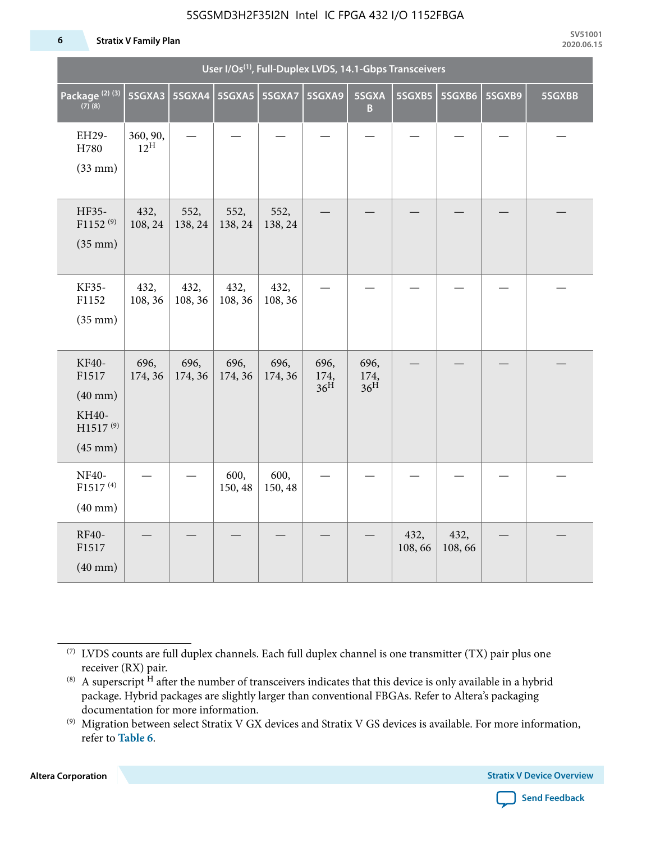#### **6 Stratix V Family Plan**

|                                                                                      | User I/Os <sup>(1)</sup> , Full-Duplex LVDS, 14.1-Gbps Transceivers |                          |                 |                 |                                 |                                 |                |                |        |        |
|--------------------------------------------------------------------------------------|---------------------------------------------------------------------|--------------------------|-----------------|-----------------|---------------------------------|---------------------------------|----------------|----------------|--------|--------|
| Package <sup>(2)(3)</sup><br>$(7)$ (8)                                               | 5SGXA3                                                              | 5SGXA4   5SGXA5   5SGXA7 |                 |                 | 5SGXA9                          | 5SGXA<br>B                      | 5SGXB5         | 5SGXB6         | 5SGXB9 | 5SGXBB |
| EH29-<br>H780<br>$(33$ mm $)$                                                        | 360, 90,<br>$12^{\text{H}}$                                         |                          |                 |                 |                                 |                                 |                |                |        |        |
| HF35-<br>$F1152^{(9)}$<br>$(35$ mm $)$                                               | 432,<br>108, 24                                                     | 552,<br>138, 24          | 552,<br>138, 24 | 552,<br>138, 24 |                                 |                                 |                |                |        |        |
| KF35-<br>F1152<br>$(35$ mm $)$                                                       | 432,<br>108, 36                                                     | 432,<br>108, 36          | 432,<br>108, 36 | 432,<br>108, 36 |                                 |                                 |                |                |        |        |
| KF40-<br>F1517<br>$(40$ mm $)$<br>KH40-<br>H1517 <sup>(9)</sup><br>$(45 \text{ mm})$ | 696,<br>174, 36                                                     | 696,<br>174, 36          | 696,<br>174, 36 | 696,<br>174, 36 | 696,<br>174,<br>36 <sup>H</sup> | 696,<br>174,<br>36 <sup>H</sup> |                |                |        |        |
| NF40-<br>F1517 <sup>(4)</sup><br>$(40$ mm $)$                                        |                                                                     |                          | 600,<br>150, 48 | 600,<br>150, 48 |                                 |                                 |                |                |        |        |
| RF40-<br>F1517<br>$(40$ mm $)$                                                       |                                                                     |                          |                 |                 |                                 |                                 | 432,<br>108,66 | 432,<br>108,66 |        |        |

**Altera Corporation** 



<sup>(7)</sup> LVDS counts are full duplex channels. Each full duplex channel is one transmitter (TX) pair plus one receiver (RX) pair.

<sup>(8)</sup> A superscript  $H$  after the number of transceivers indicates that this device is only available in a hybrid package. Hybrid packages are slightly larger than conventional FBGAs. Refer to Altera's packaging documentation for more information.

<sup>(9)</sup> Migration between select Stratix V GX devices and Stratix V GS devices is available. For more information, refer to **Table 6**.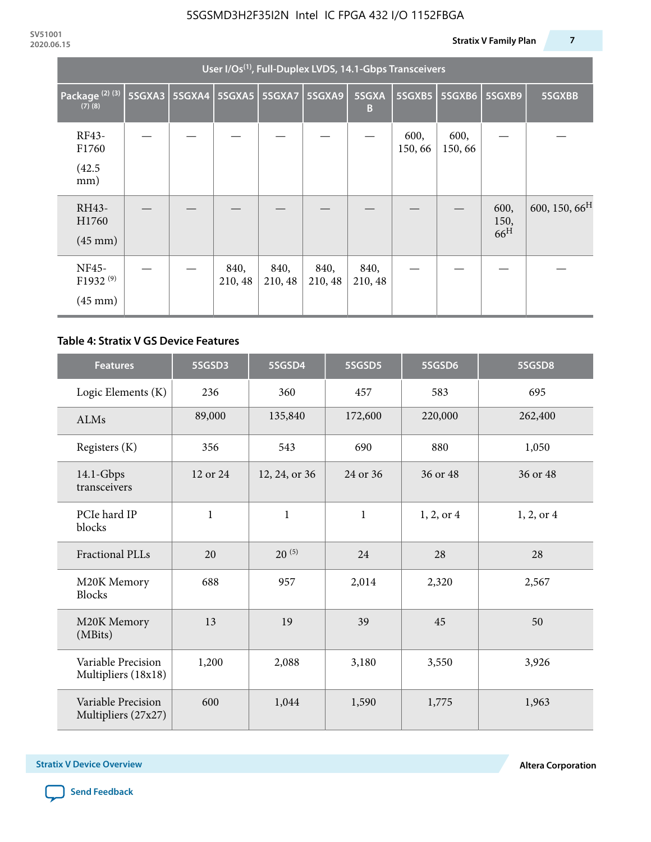|                                                    | User I/Os <sup>(1)</sup> , Full-Duplex LVDS, 14.1-Gbps Transceivers |               |                 |                 |                 |                 |                |                |                                 |                           |  |
|----------------------------------------------------|---------------------------------------------------------------------|---------------|-----------------|-----------------|-----------------|-----------------|----------------|----------------|---------------------------------|---------------------------|--|
| Package <sup>(2)(3)</sup><br>$(7)$ $(8)$           | 5SGXA3                                                              | <b>5SGXA4</b> |                 | 5SGXA5   5SGXA7 | 5SGXA9          | 5SGXA<br>B      | $5S$ GXB5      | 5SGXB6         | 5SGXB9                          | 5SGXBB                    |  |
| RF43-<br>F1760<br>(42.5)<br>mm)                    |                                                                     |               |                 |                 |                 |                 | 600,<br>150,66 | 600,<br>150,66 |                                 |                           |  |
| RH43-<br>H1760<br>$(45 \text{ mm})$                |                                                                     |               |                 |                 |                 |                 |                |                | 600,<br>150,<br>66 <sup>H</sup> | 600, 150, 66 <sup>H</sup> |  |
| NF45-<br>F1932 <sup>(9)</sup><br>$(45 \text{ mm})$ |                                                                     |               | 840,<br>210, 48 | 840,<br>210, 48 | 840,<br>210, 48 | 840,<br>210, 48 |                |                |                                 |                           |  |

#### **Table 4: Stratix V GS Device Features**

| <b>Features</b>                           | 5SGSD3       | 5SGSD4        | 5SGSD5       | 5SGSD6     | 5SGSD8     |
|-------------------------------------------|--------------|---------------|--------------|------------|------------|
| Logic Elements (K)                        | 236          | 360           | 457          | 583        | 695        |
| <b>ALMs</b>                               | 89,000       | 135,840       | 172,600      | 220,000    | 262,400    |
| Registers (K)                             | 356          | 543           | 690          | 880        | 1,050      |
| $14.1$ -Gbps<br>transceivers              | 12 or 24     | 12, 24, or 36 | 24 or 36     | 36 or 48   | 36 or 48   |
| PCIe hard IP<br>blocks                    | $\mathbf{1}$ | $\mathbf{1}$  | $\mathbf{1}$ | 1, 2, or 4 | 1, 2, or 4 |
| <b>Fractional PLLs</b>                    | 20           | $20^{(5)}$    | 24           | 28         | 28         |
| M20K Memory<br><b>Blocks</b>              | 688          | 957           | 2,014        | 2,320      | 2,567      |
| M20K Memory<br>(MBits)                    | 13           | 19            | 39           | 45         | 50         |
| Variable Precision<br>Multipliers (18x18) | 1,200        | 2,088         | 3,180        | 3,550      | 3,926      |
| Variable Precision<br>Multipliers (27x27) | 600          | 1,044         | 1,590        | 1,775      | 1,963      |

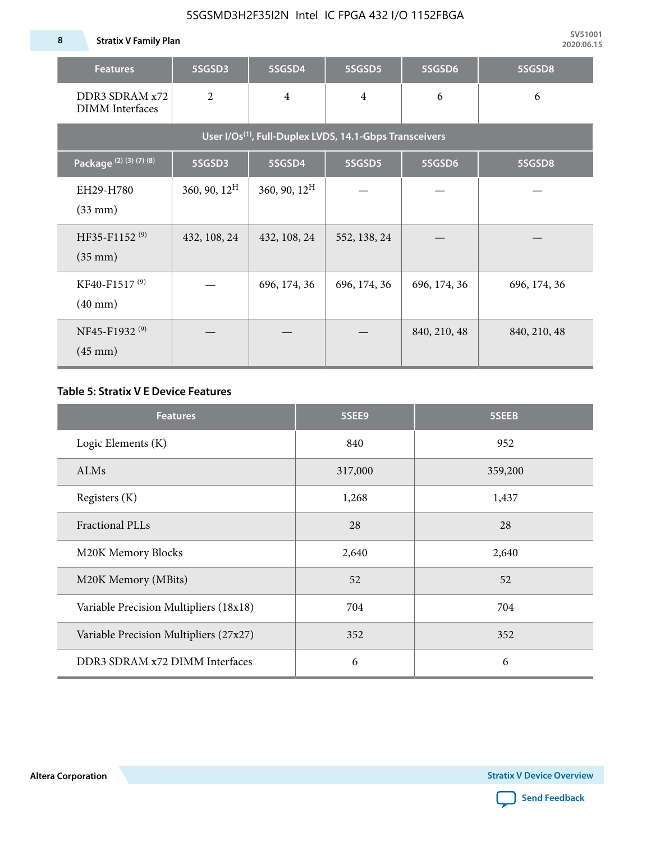**8 Stratix V Family Plan**

| <b>Features</b>                                                     | 5SGSD3                   | 5SGSD4          | 5SGSD5         | 5SGSD6       | 5SGSD8       |  |  |  |  |  |  |
|---------------------------------------------------------------------|--------------------------|-----------------|----------------|--------------|--------------|--|--|--|--|--|--|
| DDR3 SDRAM x72<br><b>DIMM</b> Interfaces                            | $\overline{2}$           | $\overline{4}$  | $\overline{4}$ | 6            | 6            |  |  |  |  |  |  |
| User I/Os <sup>(1)</sup> , Full-Duplex LVDS, 14.1-Gbps Transceivers |                          |                 |                |              |              |  |  |  |  |  |  |
| Package <sup>(2)</sup> (3)(7)(8)                                    | 5SGSD3                   | 5SGSD4          | 5SGSD5         | 5SGSD6       | 5SGSD8       |  |  |  |  |  |  |
| EH29-H780<br>$(33$ mm $)$                                           | $360, 90, 12^{\text{H}}$ | 360, 90, $12^H$ |                |              |              |  |  |  |  |  |  |
| HF35-F1152 <sup>(9)</sup><br>$(35 \text{ mm})$                      | 432, 108, 24             | 432, 108, 24    | 552, 138, 24   |              |              |  |  |  |  |  |  |
| KF40-F1517 <sup>(9)</sup><br>$(40 \text{ mm})$                      |                          | 696, 174, 36    | 696, 174, 36   | 696, 174, 36 | 696, 174, 36 |  |  |  |  |  |  |
| NF45-F1932 <sup>(9)</sup><br>$(45 \text{ mm})$                      |                          |                 |                | 840, 210, 48 | 840, 210, 48 |  |  |  |  |  |  |

#### **Table 5: Stratix V E Device Features**

| <b>Features</b>                        | 5SEE9   | 5SEEB   |
|----------------------------------------|---------|---------|
| Logic Elements (K)                     | 840     | 952     |
| ALMs                                   | 317,000 | 359,200 |
| Registers (K)                          | 1,268   | 1,437   |
| <b>Fractional PLLs</b>                 | 28      | 28      |
| M20K Memory Blocks                     | 2,640   | 2,640   |
| M20K Memory (MBits)                    | 52      | 52      |
| Variable Precision Multipliers (18x18) | 704     | 704     |
| Variable Precision Multipliers (27x27) | 352     | 352     |
| DDR3 SDRAM x72 DIMM Interfaces         | 6       | 6       |

**Altera Corporation** 

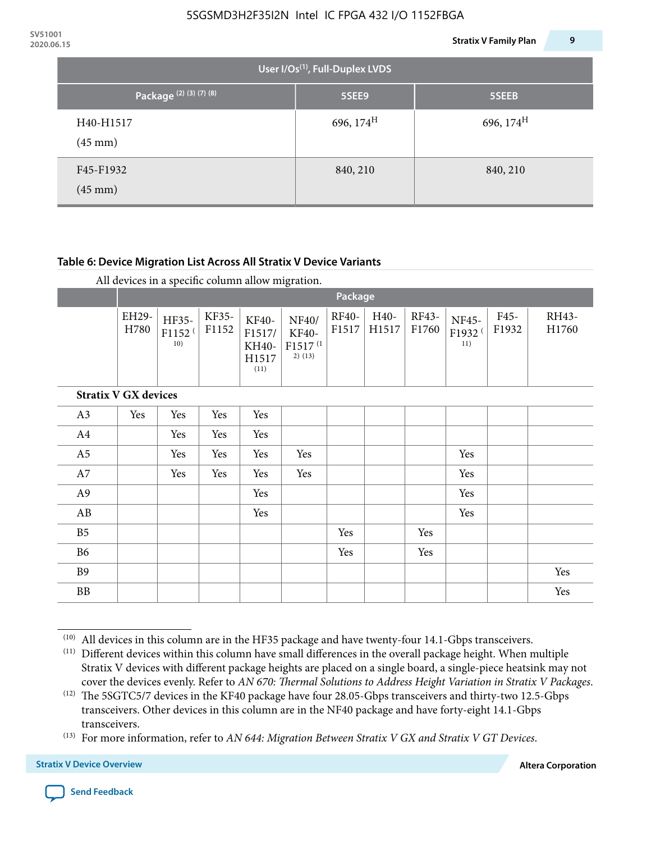| 2020.06.15 |                                       |                       | 9<br><b>Stratix V Family Plan</b> |  |  |  |  |  |  |  |  |
|------------|---------------------------------------|-----------------------|-----------------------------------|--|--|--|--|--|--|--|--|
|            | User I/Os $^{(1)}$ , Full-Duplex LVDS |                       |                                   |  |  |  |  |  |  |  |  |
|            | Package <sup>(2)(3)(7)(8)</sup>       | 5SEE9                 | 5SEEB                             |  |  |  |  |  |  |  |  |
|            | H40-H1517<br>$(45 \text{ mm})$        | 696, $174^{\text{H}}$ | 696, 174 <sup>H</sup>             |  |  |  |  |  |  |  |  |
|            | F45-F1932<br>$(45 \text{ mm})$        | 840, 210              | 840, 210                          |  |  |  |  |  |  |  |  |

#### **Table 6: Device Migration List Across All Stratix V Device Variants**

|                |                             | Package                            |                |                                           |                                                           |                |               |                |                                    |               |                |
|----------------|-----------------------------|------------------------------------|----------------|-------------------------------------------|-----------------------------------------------------------|----------------|---------------|----------------|------------------------------------|---------------|----------------|
|                | EH29-<br>H780               | HF35-<br>F1152 <sup>(</sup><br>10) | KF35-<br>F1152 | KF40-<br>F1517/<br>KH40-<br>H1517<br>(11) | NF40/<br><b>KF40-</b><br>F1517 <sup>(1</sup><br>$2)$ (13) | RF40-<br>F1517 | H40-<br>H1517 | RF43-<br>F1760 | NF45-<br>F1932 <sup>(</sup><br>11) | F45-<br>F1932 | RH43-<br>H1760 |
|                | <b>Stratix V GX devices</b> |                                    |                |                                           |                                                           |                |               |                |                                    |               |                |
| A3             | Yes                         | Yes                                | Yes            | Yes                                       |                                                           |                |               |                |                                    |               |                |
| A4             |                             | Yes                                | Yes            | Yes                                       |                                                           |                |               |                |                                    |               |                |
| A <sub>5</sub> |                             | Yes                                | Yes            | Yes                                       | Yes                                                       |                |               |                | Yes                                |               |                |
| A7             |                             | Yes                                | Yes            | Yes                                       | Yes                                                       |                |               |                | Yes                                |               |                |
| A <sub>9</sub> |                             |                                    |                | Yes                                       |                                                           |                |               |                | Yes                                |               |                |
| AB             |                             |                                    |                | Yes                                       |                                                           |                |               |                | Yes                                |               |                |
| B <sub>5</sub> |                             |                                    |                |                                           |                                                           | Yes            |               | Yes            |                                    |               |                |
| B <sub>6</sub> |                             |                                    |                |                                           |                                                           | Yes            |               | Yes            |                                    |               |                |
| <b>B9</b>      |                             |                                    |                |                                           |                                                           |                |               |                |                                    |               | Yes            |
| <b>BB</b>      |                             |                                    |                |                                           |                                                           |                |               |                |                                    |               | Yes            |

 $(10)$  All devices in this column are in the HF35 package and have twenty-four 14.1-Gbps transceivers.

<sup>(11)</sup> Different devices within this column have small differences in the overall package height. When multiple Stratix V devices with different package heights are placed on a single board, a single-piece heatsink may not cover the devices evenly. Refer to *AN 670: Thermal Solutions to Address Height Variation in Stratix V Packages*.

<sup>(12)</sup> The 5SGTC5/7 devices in the KF40 package have four 28.05-Gbps transceivers and thirty-two 12.5-Gbps transceivers. Other devices in this column are in the NF40 package and have forty-eight 14.1-Gbps transceivers.

<sup>(13)</sup> For more information, refer to *AN 644: Migration Between Stratix V GX and Stratix V GT Devices*.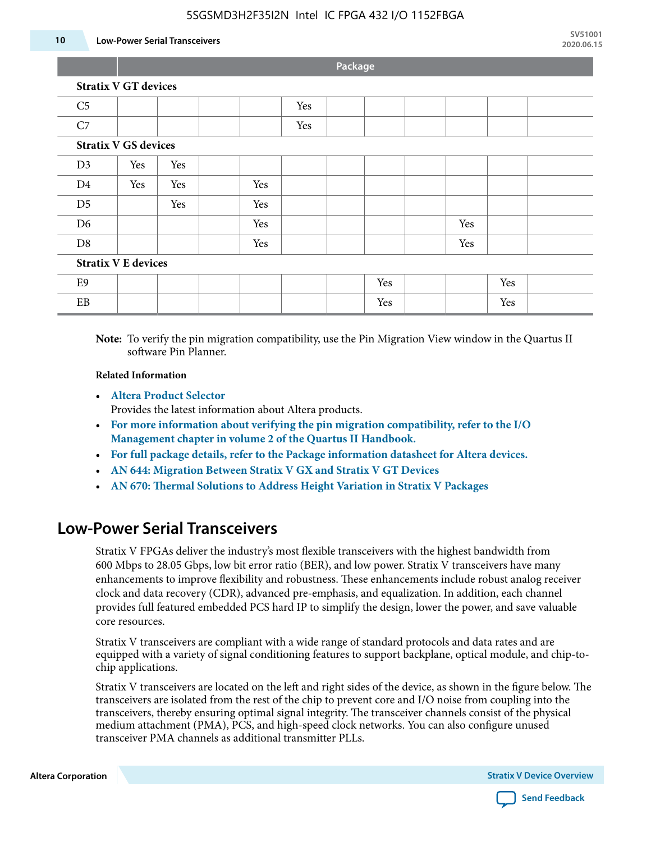#### **10 Low-Power Serial Transceivers**

**Package**

| <b>Stratix V GT devices</b> |  |  |  |  |  |
|-----------------------------|--|--|--|--|--|
|                             |  |  |  |  |  |

| C <sub>5</sub> |                             |     |  |     | Yes |  |     |  |     |     |  |
|----------------|-----------------------------|-----|--|-----|-----|--|-----|--|-----|-----|--|
| C7             |                             |     |  |     | Yes |  |     |  |     |     |  |
|                | <b>Stratix V GS devices</b> |     |  |     |     |  |     |  |     |     |  |
| D <sub>3</sub> | Yes                         | Yes |  |     |     |  |     |  |     |     |  |
| D <sub>4</sub> | Yes                         | Yes |  | Yes |     |  |     |  |     |     |  |
| D <sub>5</sub> |                             | Yes |  | Yes |     |  |     |  |     |     |  |
| D <sub>6</sub> |                             |     |  | Yes |     |  |     |  | Yes |     |  |
| D <sub>8</sub> |                             |     |  | Yes |     |  |     |  | Yes |     |  |
|                | <b>Stratix V E devices</b>  |     |  |     |     |  |     |  |     |     |  |
| E9             |                             |     |  |     |     |  | Yes |  |     | Yes |  |
| EB             |                             |     |  |     |     |  | Yes |  |     | Yes |  |

**Note:** To verify the pin migration compatibility, use the Pin Migration View window in the Quartus II software Pin Planner.

#### **Related Information**

• **[Altera Product Selector](http://www.altera.com/products/selector/psg-selector.html#)**

Provides the latest information about Altera products.

- **[For more information about verifying the pin migration compatibility, refer to the I/O](http://www.altera.com/literature/hb/qts/qts_qii52013.pdf) [Management chapter in volume 2 of the Quartus II Handbook.](http://www.altera.com/literature/hb/qts/qts_qii52013.pdf)**
- **[For full package details, refer to the Package information datasheet for Altera devices.](http://www.altera.com/support/devices/packaging/specifications/pkg-pin/spe-index.jsp)**
- **[AN 644: Migration Between Stratix V GX and Stratix V GT Devices](http://www.altera.com/literature/an/an644.pdf)**
- **[AN 670: Thermal Solutions to Address Height Variation in Stratix V Packages](http://www.altera.com/literature/an/an670.pdf)**

### **Low-Power Serial Transceivers**

Stratix V FPGAs deliver the industry's most flexible transceivers with the highest bandwidth from 600 Mbps to 28.05 Gbps, low bit error ratio (BER), and low power. Stratix V transceivers have many enhancements to improve flexibility and robustness. These enhancements include robust analog receiver clock and data recovery (CDR), advanced pre-emphasis, and equalization. In addition, each channel provides full featured embedded PCS hard IP to simplify the design, lower the power, and save valuable core resources.

Stratix V transceivers are compliant with a wide range of standard protocols and data rates and are equipped with a variety of signal conditioning features to support backplane, optical module, and chip-tochip applications.

Stratix V transceivers are located on the left and right sides of the device, as shown in the figure below. The transceivers are isolated from the rest of the chip to prevent core and I/O noise from coupling into the transceivers, thereby ensuring optimal signal integrity. The transceiver channels consist of the physical medium attachment (PMA), PCS, and high-speed clock networks. You can also configure unused transceiver PMA channels as additional transmitter PLLs.

**Altera Corporation Stratix V Device Overview**

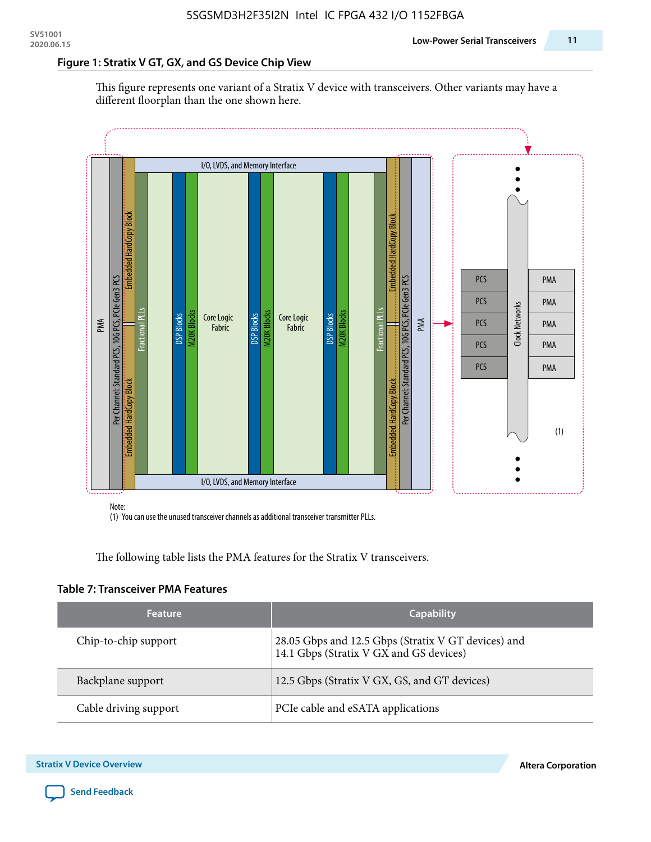#### **Figure 1: Stratix V GT, GX, and GS Device Chip View**

This figure represents one variant of a Stratix V device with transceivers. Other variants may have a different floorplan than the one shown here.



(1) You can use the unused transceiver channels as additional transceiver transmitter PLLs.

The following table lists the PMA features for the Stratix V transceivers.

#### **Table 7: Transceiver PMA Features**

| <b>Feature</b>        | <b>Capability</b>                                                                              |
|-----------------------|------------------------------------------------------------------------------------------------|
| Chip-to-chip support  | 28.05 Gbps and 12.5 Gbps (Stratix V GT devices) and<br>14.1 Gbps (Stratix V GX and GS devices) |
| Backplane support     | 12.5 Gbps (Stratix V GX, GS, and GT devices)                                                   |
| Cable driving support | PCIe cable and eSATA applications                                                              |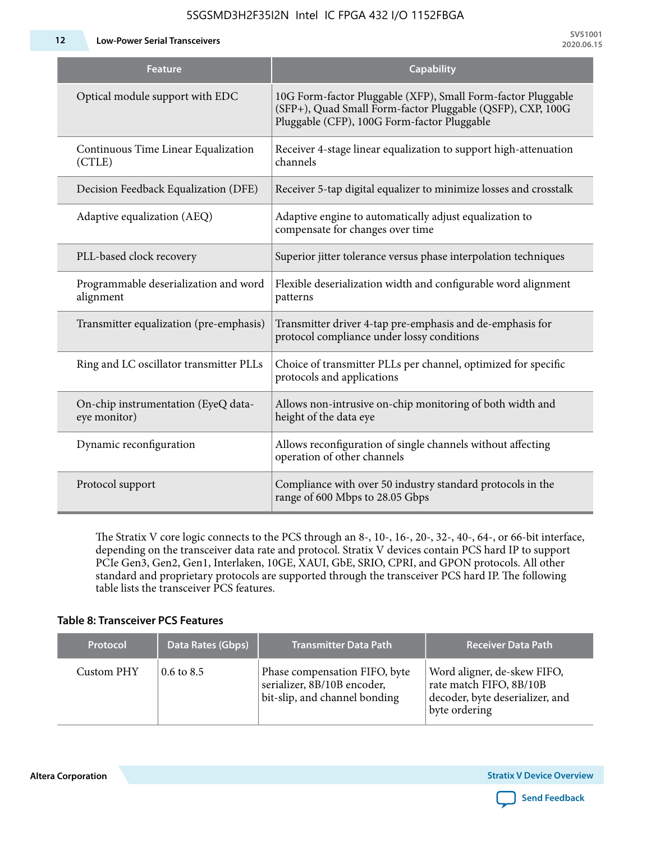**12 Low-Power Serial Transceivers**

| <b>Feature</b>                                      | <b>Capability</b>                                                                                                                                                         |
|-----------------------------------------------------|---------------------------------------------------------------------------------------------------------------------------------------------------------------------------|
| Optical module support with EDC                     | 10G Form-factor Pluggable (XFP), Small Form-factor Pluggable<br>(SFP+), Quad Small Form-factor Pluggable (QSFP), CXP, 100G<br>Pluggable (CFP), 100G Form-factor Pluggable |
| Continuous Time Linear Equalization<br>(CTLE)       | Receiver 4-stage linear equalization to support high-attenuation<br>channels                                                                                              |
| Decision Feedback Equalization (DFE)                | Receiver 5-tap digital equalizer to minimize losses and crosstalk                                                                                                         |
| Adaptive equalization (AEQ)                         | Adaptive engine to automatically adjust equalization to<br>compensate for changes over time                                                                               |
| PLL-based clock recovery                            | Superior jitter tolerance versus phase interpolation techniques                                                                                                           |
| Programmable deserialization and word<br>alignment  | Flexible deserialization width and configurable word alignment<br>patterns                                                                                                |
| Transmitter equalization (pre-emphasis)             | Transmitter driver 4-tap pre-emphasis and de-emphasis for<br>protocol compliance under lossy conditions                                                                   |
| Ring and LC oscillator transmitter PLLs             | Choice of transmitter PLLs per channel, optimized for specific<br>protocols and applications                                                                              |
| On-chip instrumentation (EyeQ data-<br>eye monitor) | Allows non-intrusive on-chip monitoring of both width and<br>height of the data eye                                                                                       |
| Dynamic reconfiguration                             | Allows reconfiguration of single channels without affecting<br>operation of other channels                                                                                |
| Protocol support                                    | Compliance with over 50 industry standard protocols in the<br>range of 600 Mbps to 28.05 Gbps                                                                             |

The Stratix V core logic connects to the PCS through an 8-, 10-, 16-, 20-, 32-, 40-, 64-, or 66-bit interface, depending on the transceiver data rate and protocol. Stratix V devices contain PCS hard IP to support PCIe Gen3, Gen2, Gen1, Interlaken, 10GE, XAUI, GbE, SRIO, CPRI, and GPON protocols. All other standard and proprietary protocols are supported through the transceiver PCS hard IP. The following table lists the transceiver PCS features.

#### **Table 8: Transceiver PCS Features**

| <b>Protocol</b> | Data Rates (Gbps)     | <b>Transmitter Data Path</b>                                                                  | <b>Receiver Data Path</b>                                                                                  |
|-----------------|-----------------------|-----------------------------------------------------------------------------------------------|------------------------------------------------------------------------------------------------------------|
| Custom PHY      | $0.6 \text{ to } 8.5$ | Phase compensation FIFO, byte<br>serializer, 8B/10B encoder,<br>bit-slip, and channel bonding | Word aligner, de-skew FIFO,<br>rate match FIFO, 8B/10B<br>decoder, byte deserializer, and<br>byte ordering |

**Altera Corporation** 

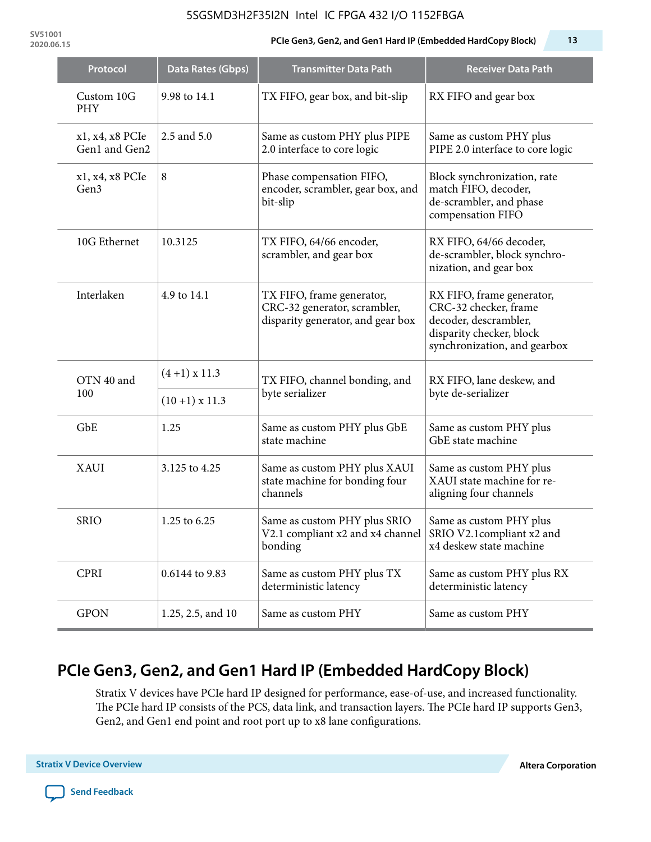**SV51001**

#### **2020.06.15 PCIe Gen3, Gen2, and Gen1 Hard IP (Embedded HardCopy Block) 13**

| Protocol                         | Data Rates (Gbps) | <b>Transmitter Data Path</b>                                                                   | <b>Receiver Data Path</b>                                                                                                               |  |  |
|----------------------------------|-------------------|------------------------------------------------------------------------------------------------|-----------------------------------------------------------------------------------------------------------------------------------------|--|--|
| Custom 10G<br><b>PHY</b>         | 9.98 to 14.1      | TX FIFO, gear box, and bit-slip                                                                | RX FIFO and gear box                                                                                                                    |  |  |
| x1, x4, x8 PCIe<br>Gen1 and Gen2 | 2.5 and 5.0       | Same as custom PHY plus PIPE<br>2.0 interface to core logic                                    | Same as custom PHY plus<br>PIPE 2.0 interface to core logic                                                                             |  |  |
| x1, x4, x8 PCIe<br>Gen3          | 8                 | Phase compensation FIFO,<br>encoder, scrambler, gear box, and<br>bit-slip                      | Block synchronization, rate<br>match FIFO, decoder,<br>de-scrambler, and phase<br>compensation FIFO                                     |  |  |
| 10G Ethernet                     | 10.3125           | TX FIFO, 64/66 encoder,<br>scrambler, and gear box                                             | RX FIFO, 64/66 decoder,<br>de-scrambler, block synchro-<br>nization, and gear box                                                       |  |  |
| Interlaken                       | 4.9 to 14.1       | TX FIFO, frame generator,<br>CRC-32 generator, scrambler,<br>disparity generator, and gear box | RX FIFO, frame generator,<br>CRC-32 checker, frame<br>decoder, descrambler,<br>disparity checker, block<br>synchronization, and gearbox |  |  |
| OTN 40 and<br>100                | $(4+1)$ x 11.3    | TX FIFO, channel bonding, and                                                                  | RX FIFO, lane deskew, and                                                                                                               |  |  |
|                                  | $(10+1)$ x 11.3   | byte serializer                                                                                | byte de-serializer                                                                                                                      |  |  |
| GbE                              | 1.25              | Same as custom PHY plus GbE<br>state machine                                                   | Same as custom PHY plus<br>GbE state machine                                                                                            |  |  |
| <b>XAUI</b>                      | 3.125 to 4.25     | Same as custom PHY plus XAUI<br>state machine for bonding four<br>channels                     | Same as custom PHY plus<br>XAUI state machine for re-<br>aligning four channels                                                         |  |  |
| <b>SRIO</b>                      | 1.25 to 6.25      | Same as custom PHY plus SRIO<br>V2.1 compliant x2 and x4 channel<br>bonding                    | Same as custom PHY plus<br>SRIO V2.1compliant x2 and<br>x4 deskew state machine                                                         |  |  |
| <b>CPRI</b>                      | 0.6144 to 9.83    | Same as custom PHY plus TX<br>deterministic latency                                            | Same as custom PHY plus RX<br>deterministic latency                                                                                     |  |  |
| <b>GPON</b>                      | 1.25, 2.5, and 10 | Same as custom PHY                                                                             | Same as custom PHY                                                                                                                      |  |  |

# **PCIe Gen3, Gen2, and Gen1 Hard IP (Embedded HardCopy Block)**

Stratix V devices have PCIe hard IP designed for performance, ease-of-use, and increased functionality. The PCIe hard IP consists of the PCS, data link, and transaction layers. The PCIe hard IP supports Gen3, Gen2, and Gen1 end point and root port up to x8 lane configurations.

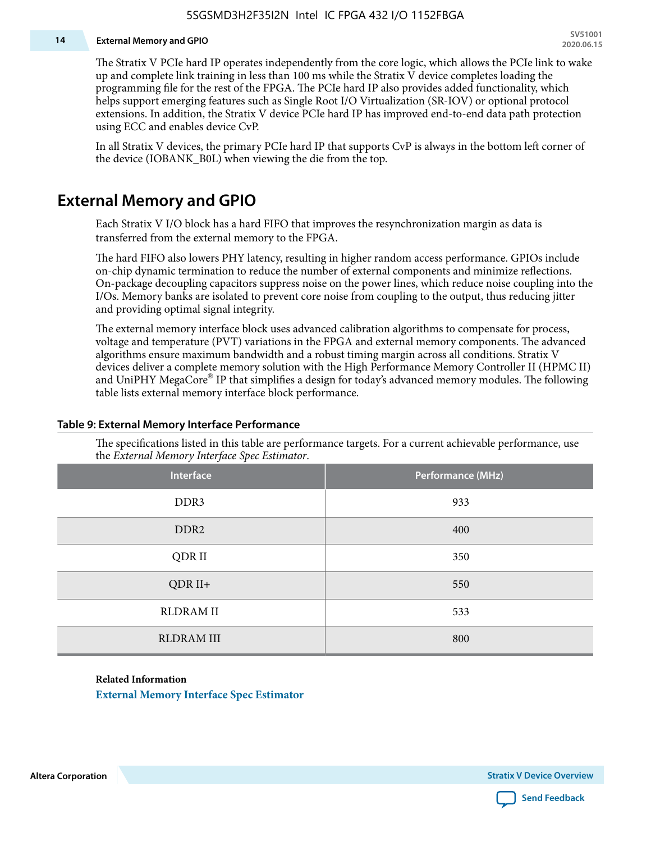#### **14 External Memory and GPIO**

The Stratix V PCIe hard IP operates independently from the core logic, which allows the PCIe link to wake up and complete link training in less than 100 ms while the Stratix V device completes loading the programming file for the rest of the FPGA. The PCIe hard IP also provides added functionality, which helps support emerging features such as Single Root I/O Virtualization (SR-IOV) or optional protocol extensions. In addition, the Stratix V device PCIe hard IP has improved end-to-end data path protection using ECC and enables device CvP.

In all Stratix V devices, the primary PCIe hard IP that supports CvP is always in the bottom left corner of the device (IOBANK\_B0L) when viewing the die from the top.

### **External Memory and GPIO**

Each Stratix V I/O block has a hard FIFO that improves the resynchronization margin as data is transferred from the external memory to the FPGA.

The hard FIFO also lowers PHY latency, resulting in higher random access performance. GPIOs include on-chip dynamic termination to reduce the number of external components and minimize reflections. On-package decoupling capacitors suppress noise on the power lines, which reduce noise coupling into the I/Os. Memory banks are isolated to prevent core noise from coupling to the output, thus reducing jitter and providing optimal signal integrity.

The external memory interface block uses advanced calibration algorithms to compensate for process, voltage and temperature (PVT) variations in the FPGA and external memory components. The advanced algorithms ensure maximum bandwidth and a robust timing margin across all conditions. Stratix V devices deliver a complete memory solution with the High Performance Memory Controller II (HPMC II) and UniPHY MegaCore® IP that simplifies a design for today's advanced memory modules. The following table lists external memory interface block performance.

| Interface         | Performance (MHz) |
|-------------------|-------------------|
| DDR3              | 933               |
| DDR <sub>2</sub>  | 400               |
| QDR II            | 350               |
| $QDR II+$         | 550               |
| <b>RLDRAM II</b>  | 533               |
| <b>RLDRAM III</b> | 800               |

#### **Table 9: External Memory Interface Performance**

The specifications listed in this table are performance targets. For a current achievable performance, use the *External Memory Interface Spec Estimator*.

#### **Related Information**

**[External Memory Interface Spec Estimator](http://www.altera.com/technology/memory/estimator/mem-emif-index.html)**

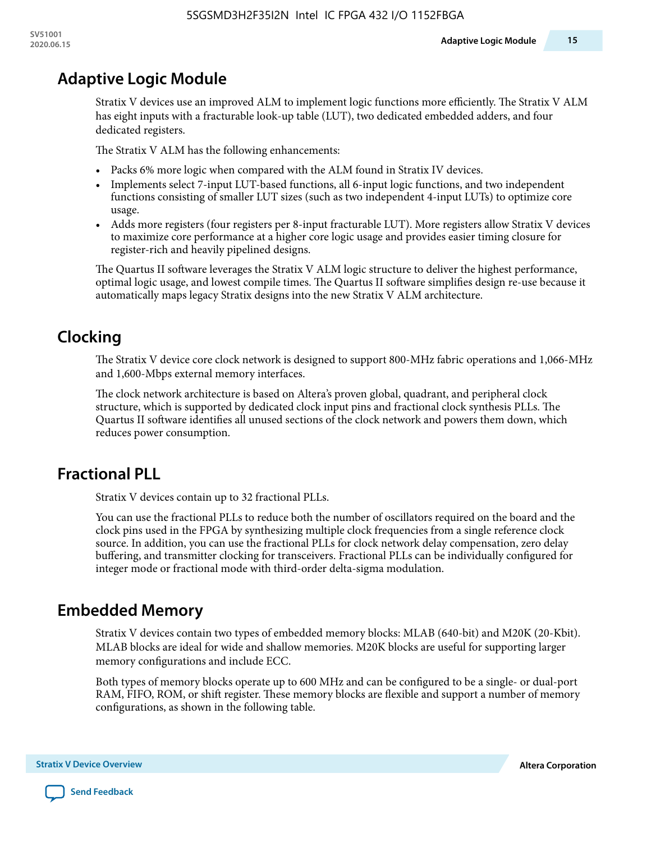# **Adaptive Logic Module**

Stratix V devices use an improved ALM to implement logic functions more efficiently. The Stratix V ALM has eight inputs with a fracturable look-up table (LUT), two dedicated embedded adders, and four dedicated registers.

The Stratix V ALM has the following enhancements:

- Packs 6% more logic when compared with the ALM found in Stratix IV devices.
- Implements select 7-input LUT-based functions, all 6-input logic functions, and two independent functions consisting of smaller LUT sizes (such as two independent 4-input LUTs) to optimize core usage.
- Adds more registers (four registers per 8-input fracturable LUT). More registers allow Stratix V devices to maximize core performance at a higher core logic usage and provides easier timing closure for register-rich and heavily pipelined designs.

The Quartus II software leverages the Stratix V ALM logic structure to deliver the highest performance, optimal logic usage, and lowest compile times. The Quartus II software simplifies design re-use because it automatically maps legacy Stratix designs into the new Stratix V ALM architecture.

# **Clocking**

The Stratix V device core clock network is designed to support 800-MHz fabric operations and 1,066-MHz and 1,600-Mbps external memory interfaces.

The clock network architecture is based on Altera's proven global, quadrant, and peripheral clock structure, which is supported by dedicated clock input pins and fractional clock synthesis PLLs. The Quartus II software identifies all unused sections of the clock network and powers them down, which reduces power consumption.

## **Fractional PLL**

Stratix V devices contain up to 32 fractional PLLs.

You can use the fractional PLLs to reduce both the number of oscillators required on the board and the clock pins used in the FPGA by synthesizing multiple clock frequencies from a single reference clock source. In addition, you can use the fractional PLLs for clock network delay compensation, zero delay buffering, and transmitter clocking for transceivers. Fractional PLLs can be individually configured for integer mode or fractional mode with third-order delta-sigma modulation.

## **Embedded Memory**

Stratix V devices contain two types of embedded memory blocks: MLAB (640-bit) and M20K (20-Kbit). MLAB blocks are ideal for wide and shallow memories. M20K blocks are useful for supporting larger memory configurations and include ECC.

Both types of memory blocks operate up to 600 MHz and can be configured to be a single- or dual-port RAM, FIFO, ROM, or shift register. These memory blocks are flexible and support a number of memory configurations, as shown in the following table.

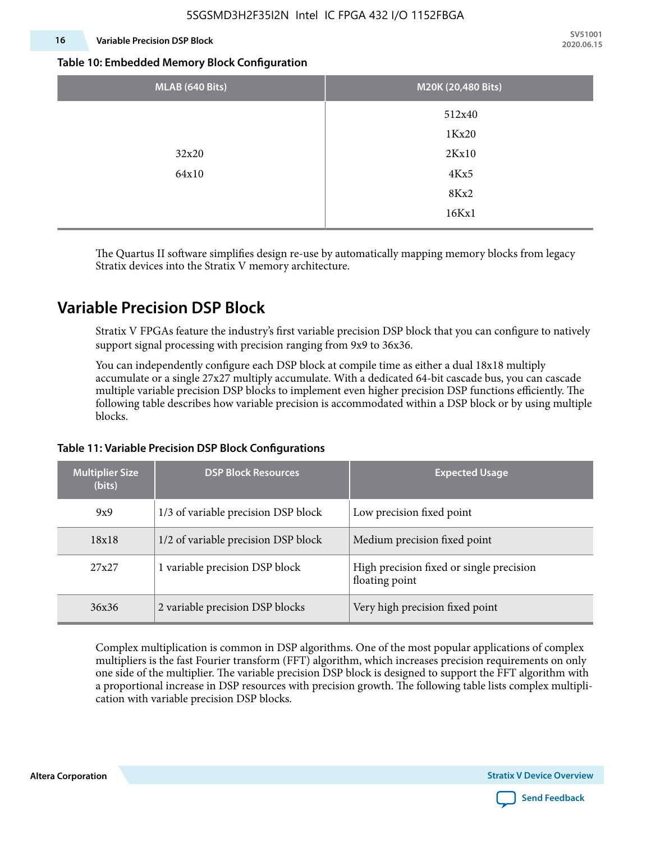#### **16 Variable Precision DSP Block**

**SV51001 2020.06.15**

#### **Table 10: Embedded Memory Block Configuration**

| MLAB (640 Bits) | M20K (20,480 Bits) |
|-----------------|--------------------|
|                 | 512x40             |
|                 | 1Kx20              |
| 32x20           | 2Kx10              |
| 64x10           | 4Kx5               |
|                 | 8Kx2               |
|                 | 16Kx1              |

The Quartus II software simplifies design re-use by automatically mapping memory blocks from legacy Stratix devices into the Stratix V memory architecture.

### **Variable Precision DSP Block**

Stratix V FPGAs feature the industry's first variable precision DSP block that you can configure to natively support signal processing with precision ranging from 9x9 to 36x36.

You can independently configure each DSP block at compile time as either a dual 18x18 multiply accumulate or a single 27x27 multiply accumulate. With a dedicated 64-bit cascade bus, you can cascade multiple variable precision DSP blocks to implement even higher precision DSP functions efficiently. The following table describes how variable precision is accommodated within a DSP block or by using multiple blocks.

# **Multiplier Size (bits) DSP Block Resources Expected Usage** 9x9 1/3 of variable precision DSP block Low precision fixed point  $18x18$  1/2 of variable precision DSP block 14 Medium precision fixed point 27x27 1 variable precision DSP block High precision fixed or single precision floating point 36x36 2 variable precision DSP blocks Very high precision fixed point

#### **Table 11: Variable Precision DSP Block Configurations**

Complex multiplication is common in DSP algorithms. One of the most popular applications of complex multipliers is the fast Fourier transform (FFT) algorithm, which increases precision requirements on only one side of the multiplier. The variable precision DSP block is designed to support the FFT algorithm with a proportional increase in DSP resources with precision growth. The following table lists complex multipli‐ cation with variable precision DSP blocks.

**Altera Corporation Stratix V Device Overview**

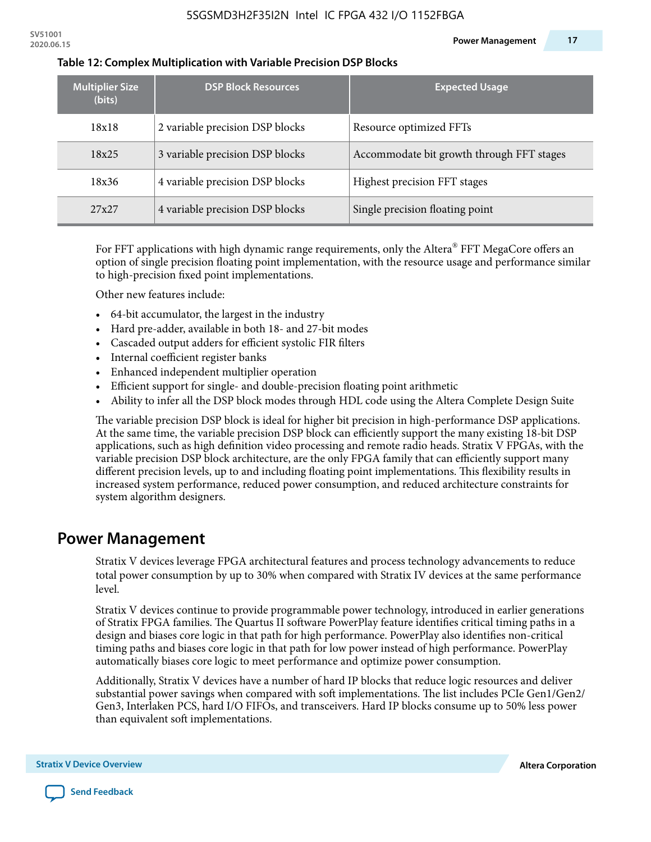| <b>Multiplier Size</b><br>(bits) | <b>DSP Block Resources</b>      | <b>Expected Usage</b>                     |
|----------------------------------|---------------------------------|-------------------------------------------|
| 18x18                            | 2 variable precision DSP blocks | Resource optimized FFTs                   |
| 18x25                            | 3 variable precision DSP blocks | Accommodate bit growth through FFT stages |
| 18x36                            | 4 variable precision DSP blocks | Highest precision FFT stages              |
| 27x27                            | 4 variable precision DSP blocks | Single precision floating point           |

#### **Table 12: Complex Multiplication with Variable Precision DSP Blocks**

For FFT applications with high dynamic range requirements, only the Altera $^\circ$  FFT MegaCore offers an option of single precision floating point implementation, with the resource usage and performance similar to high-precision fixed point implementations.

Other new features include:

- 64-bit accumulator, the largest in the industry
- Hard pre-adder, available in both 18- and 27-bit modes
- Cascaded output adders for efficient systolic FIR filters
- Internal coefficient register banks
- Enhanced independent multiplier operation
- Efficient support for single- and double-precision floating point arithmetic
- Ability to infer all the DSP block modes through HDL code using the Altera Complete Design Suite

The variable precision DSP block is ideal for higher bit precision in high-performance DSP applications. At the same time, the variable precision DSP block can efficiently support the many existing 18-bit DSP applications, such as high definition video processing and remote radio heads. Stratix V FPGAs, with the variable precision DSP block architecture, are the only FPGA family that can efficiently support many different precision levels, up to and including floating point implementations. This flexibility results in increased system performance, reduced power consumption, and reduced architecture constraints for system algorithm designers.

### **Power Management**

Stratix V devices leverage FPGA architectural features and process technology advancements to reduce total power consumption by up to 30% when compared with Stratix IV devices at the same performance level.

Stratix V devices continue to provide programmable power technology, introduced in earlier generations of Stratix FPGA families. The Quartus II software PowerPlay feature identifies critical timing paths in a design and biases core logic in that path for high performance. PowerPlay also identifies non-critical timing paths and biases core logic in that path for low power instead of high performance. PowerPlay automatically biases core logic to meet performance and optimize power consumption.

Additionally, Stratix V devices have a number of hard IP blocks that reduce logic resources and deliver substantial power savings when compared with soft implementations. The list includes PCIe Gen1/Gen2/ Gen3, Interlaken PCS, hard I/O FIFOs, and transceivers. Hard IP blocks consume up to 50% less power than equivalent soft implementations.

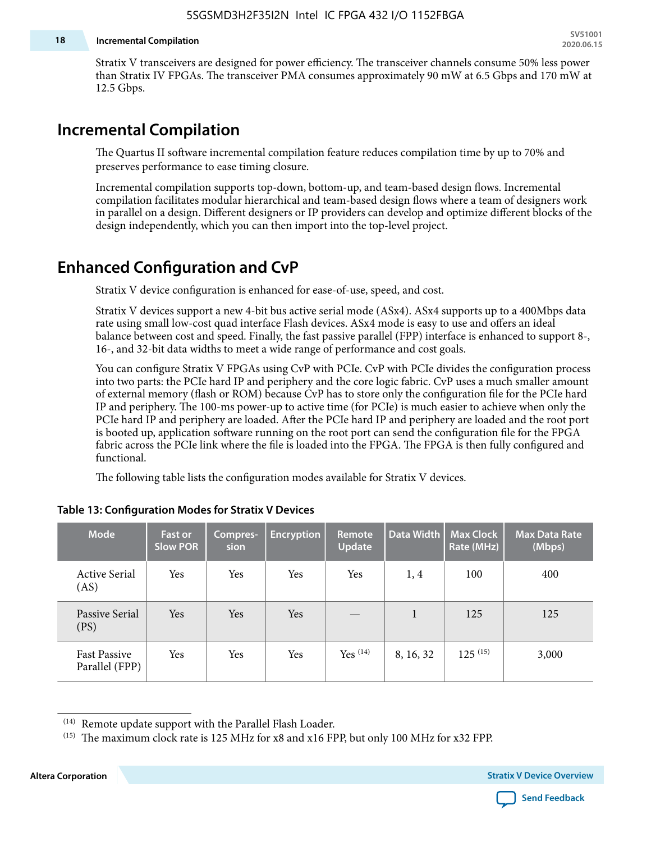#### **18 Incremental Compilation**

Stratix V transceivers are designed for power efficiency. The transceiver channels consume 50% less power than Stratix IV FPGAs. The transceiver PMA consumes approximately 90 mW at 6.5 Gbps and 170 mW at 12.5 Gbps.

### **Incremental Compilation**

The Quartus II software incremental compilation feature reduces compilation time by up to 70% and preserves performance to ease timing closure.

Incremental compilation supports top-down, bottom-up, and team-based design flows. Incremental compilation facilitates modular hierarchical and team-based design flows where a team of designers work in parallel on a design. Different designers or IP providers can develop and optimize different blocks of the design independently, which you can then import into the top-level project.

### **Enhanced Configuration and CvP**

Stratix V device configuration is enhanced for ease-of-use, speed, and cost.

Stratix V devices support a new 4-bit bus active serial mode (ASx4). ASx4 supports up to a 400Mbps data rate using small low-cost quad interface Flash devices. ASx4 mode is easy to use and offers an ideal balance between cost and speed. Finally, the fast passive parallel (FPP) interface is enhanced to support 8-, 16-, and 32-bit data widths to meet a wide range of performance and cost goals.

You can configure Stratix V FPGAs using CvP with PCIe. CvP with PCIe divides the configuration process into two parts: the PCIe hard IP and periphery and the core logic fabric. CvP uses a much smaller amount of external memory (flash or ROM) because CvP has to store only the configuration file for the PCIe hard IP and periphery. The 100-ms power-up to active time (for PCIe) is much easier to achieve when only the PCIe hard IP and periphery are loaded. After the PCIe hard IP and periphery are loaded and the root port is booted up, application software running on the root port can send the configuration file for the FPGA fabric across the PCIe link where the file is loaded into the FPGA. The FPGA is then fully configured and functional.

The following table lists the configuration modes available for Stratix V devices.

| <b>Mode</b>                           | <b>Fast or</b><br><b>Slow POR</b> | Compres-<br>sion | <b>Encryption</b> | Remote<br><b>Update</b> | Data Width | <b>Max Clock</b><br>Rate (MHz) | <b>Max Data Rate</b><br>(Mbps) |
|---------------------------------------|-----------------------------------|------------------|-------------------|-------------------------|------------|--------------------------------|--------------------------------|
| <b>Active Serial</b><br>(AS)          | Yes                               | Yes              | Yes               | Yes                     | 1, 4       | 100                            | 400                            |
| Passive Serial<br>(PS)                | Yes                               | Yes              | Yes               |                         | 1          | 125                            | 125                            |
| <b>Fast Passive</b><br>Parallel (FPP) | Yes                               | Yes              | Yes               | $Yes$ $(14)$            | 8, 16, 32  | $125^{(15)}$                   | 3,000                          |

#### **Table 13: Configuration Modes for Stratix V Devices**

**Altera Corporation Stratix V Device Overview**



<sup>(14)</sup> Remote update support with the Parallel Flash Loader.

<sup>&</sup>lt;sup>(15)</sup> The maximum clock rate is 125 MHz for x8 and x16 FPP, but only 100 MHz for x32 FPP.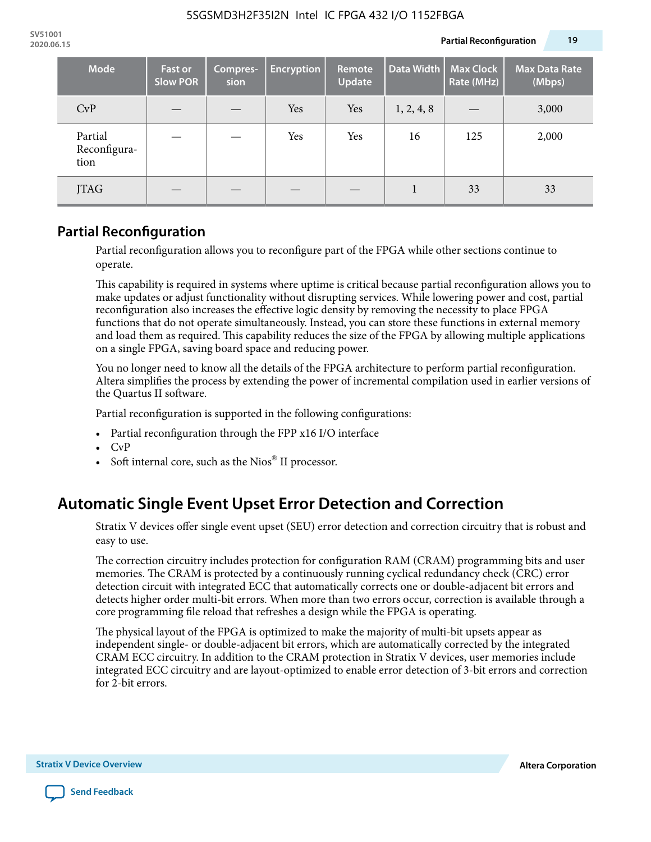| <b>Mode</b>                     | <b>Fast or</b><br><b>Slow POR</b> | Compres-<br>sion | <b>Encryption</b> | Remote<br>Update | Data Width | <b>Max Clock</b><br>Rate (MHz) | <b>Max Data Rate</b><br>(Mbps) |
|---------------------------------|-----------------------------------|------------------|-------------------|------------------|------------|--------------------------------|--------------------------------|
| CvP                             |                                   |                  | Yes               | Yes              | 1, 2, 4, 8 |                                | 3,000                          |
| Partial<br>Reconfigura-<br>tion |                                   |                  | Yes               | Yes              | 16         | 125                            | 2,000                          |
| JTAG                            |                                   |                  |                   |                  |            | 33                             | 33                             |

### **Partial Reconfiguration**

Partial reconfiguration allows you to reconfigure part of the FPGA while other sections continue to operate.

This capability is required in systems where uptime is critical because partial reconfiguration allows you to make updates or adjust functionality without disrupting services. While lowering power and cost, partial reconfiguration also increases the effective logic density by removing the necessity to place FPGA functions that do not operate simultaneously. Instead, you can store these functions in external memory and load them as required. This capability reduces the size of the FPGA by allowing multiple applications on a single FPGA, saving board space and reducing power.

You no longer need to know all the details of the FPGA architecture to perform partial reconfiguration. Altera simplifies the process by extending the power of incremental compilation used in earlier versions of the Quartus II software.

Partial reconfiguration is supported in the following configurations:

- Partial reconfiguration through the FPP x16 I/O interface
- CvP
- Soft internal core, such as the Nios® II processor.

## **Automatic Single Event Upset Error Detection and Correction**

Stratix V devices offer single event upset (SEU) error detection and correction circuitry that is robust and easy to use.

The correction circuitry includes protection for configuration RAM (CRAM) programming bits and user memories. The CRAM is protected by a continuously running cyclical redundancy check (CRC) error detection circuit with integrated ECC that automatically corrects one or double-adjacent bit errors and detects higher order multi-bit errors. When more than two errors occur, correction is available through a core programming file reload that refreshes a design while the FPGA is operating.

The physical layout of the FPGA is optimized to make the majority of multi-bit upsets appear as independent single- or double-adjacent bit errors, which are automatically corrected by the integrated CRAM ECC circuitry. In addition to the CRAM protection in Stratix V devices, user memories include integrated ECC circuitry and are layout-optimized to enable error detection of 3-bit errors and correction for 2-bit errors.

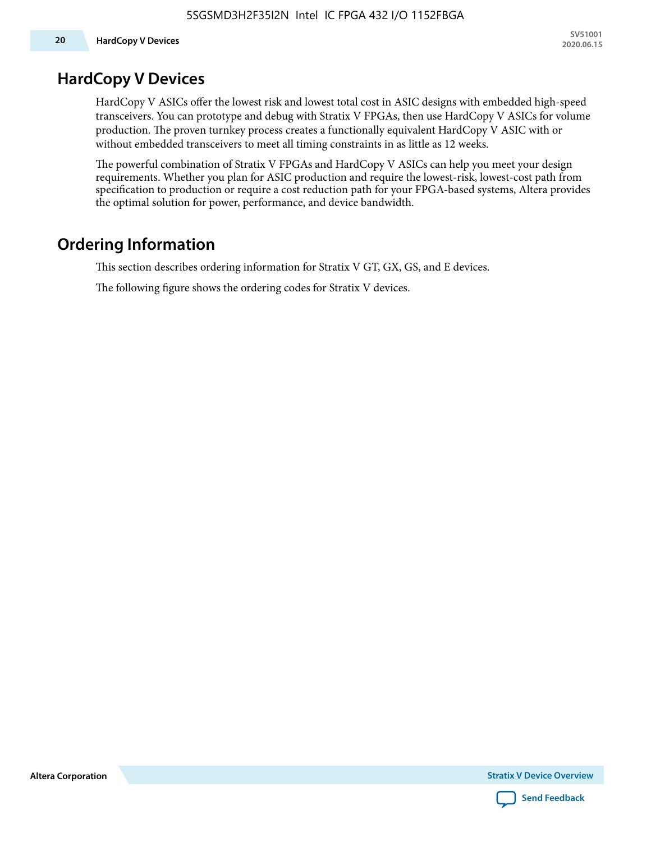### **HardCopy V Devices**

HardCopy V ASICs offer the lowest risk and lowest total cost in ASIC designs with embedded high-speed transceivers. You can prototype and debug with Stratix V FPGAs, then use HardCopy V ASICs for volume production. The proven turnkey process creates a functionally equivalent HardCopy V ASIC with or without embedded transceivers to meet all timing constraints in as little as 12 weeks.

The powerful combination of Stratix V FPGAs and HardCopy V ASICs can help you meet your design requirements. Whether you plan for ASIC production and require the lowest-risk, lowest-cost path from specification to production or require a cost reduction path for your FPGA-based systems, Altera provides the optimal solution for power, performance, and device bandwidth.

## **Ordering Information**

This section describes ordering information for Stratix V GT, GX, GS, and E devices.

The following figure shows the ordering codes for Stratix V devices.

**Altera Corporation** 

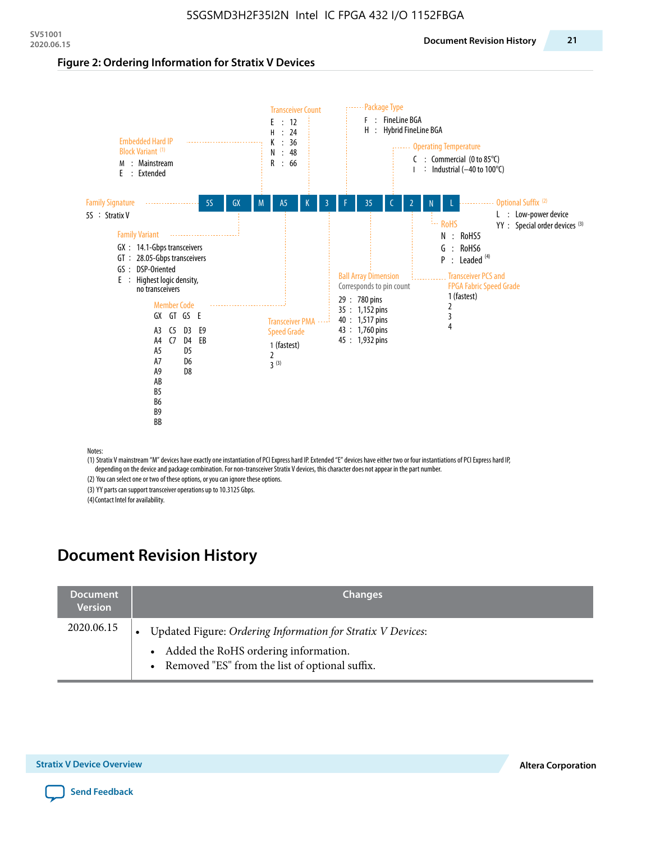#### **Figure 2: Ordering Information for Stratix V Devices**



(1) Stratix V mainstream "M" devices have exactly one instantiation of PCI Express hard IP. Extended "E" devices have either two or four instantiations of PCI Express hard IP, depending on the device and package combination. For non-transceiver Stratix V devices, this character does not appear in the part number.

(2) You can select one or two of these options, or you can ignore these options.

(3) YY parts can support transceiver operations up to 10.3125 Gbps.

(4) Contact Intel for availability.

## **Document Revision History**

| <b>Document</b><br><b>Version</b> | <b>Changes</b>                                                                                                                                            |
|-----------------------------------|-----------------------------------------------------------------------------------------------------------------------------------------------------------|
| 2020.06.15                        | Updated Figure: Ordering Information for Stratix V Devices:<br>• Added the RoHS ordering information.<br>• Removed "ES" from the list of optional suffix. |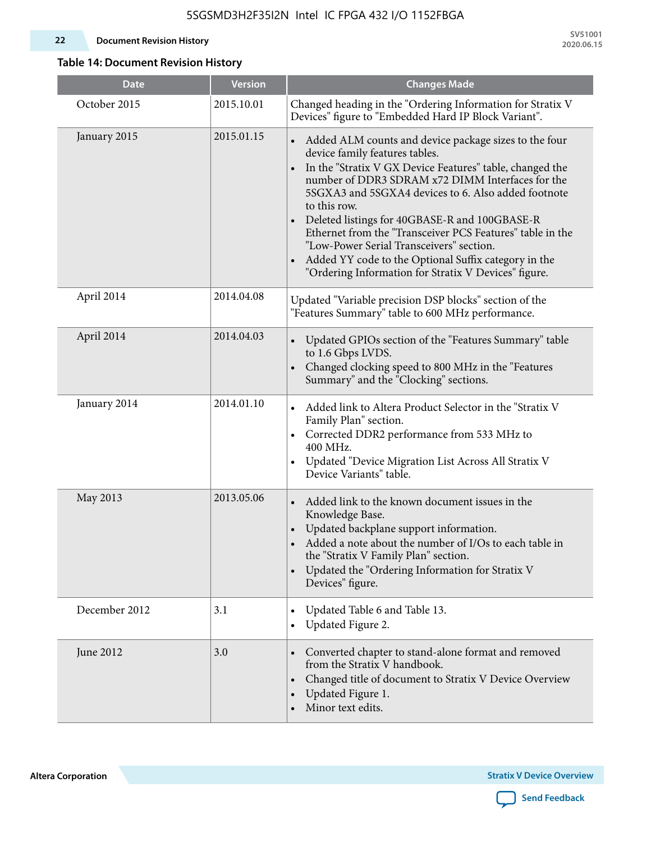#### **22 Document Revision History**

**SV51001 2020.06.15**

### **Table 14: Document Revision History**

| <b>Date</b>   | <b>Version</b> | <b>Changes Made</b>                                                                                                                                                                                                                                                                                                                                                                                                                                                                                                                                                                |
|---------------|----------------|------------------------------------------------------------------------------------------------------------------------------------------------------------------------------------------------------------------------------------------------------------------------------------------------------------------------------------------------------------------------------------------------------------------------------------------------------------------------------------------------------------------------------------------------------------------------------------|
| October 2015  | 2015.10.01     | Changed heading in the "Ordering Information for Stratix V<br>Devices" figure to "Embedded Hard IP Block Variant".                                                                                                                                                                                                                                                                                                                                                                                                                                                                 |
| January 2015  | 2015.01.15     | Added ALM counts and device package sizes to the four<br>device family features tables.<br>In the "Stratix V GX Device Features" table, changed the<br>$\bullet$<br>number of DDR3 SDRAM x72 DIMM Interfaces for the<br>5SGXA3 and 5SGXA4 devices to 6. Also added footnote<br>to this row.<br>Deleted listings for 40GBASE-R and 100GBASE-R<br>Ethernet from the "Transceiver PCS Features" table in the<br>"Low-Power Serial Transceivers" section.<br>Added YY code to the Optional Suffix category in the<br>$\bullet$<br>"Ordering Information for Stratix V Devices" figure. |
| April 2014    | 2014.04.08     | Updated "Variable precision DSP blocks" section of the<br>"Features Summary" table to 600 MHz performance.                                                                                                                                                                                                                                                                                                                                                                                                                                                                         |
| April 2014    | 2014.04.03     | Updated GPIOs section of the "Features Summary" table<br>to 1.6 Gbps LVDS.<br>Changed clocking speed to 800 MHz in the "Features<br>Summary" and the "Clocking" sections.                                                                                                                                                                                                                                                                                                                                                                                                          |
| January 2014  | 2014.01.10     | Added link to Altera Product Selector in the "Stratix V<br>Family Plan" section.<br>• Corrected DDR2 performance from 533 MHz to<br>400 MHz.<br>Updated "Device Migration List Across All Stratix V<br>Device Variants" table.                                                                                                                                                                                                                                                                                                                                                     |
| May 2013      | 2013.05.06     | Added link to the known document issues in the<br>Knowledge Base.<br>Updated backplane support information.<br>$\bullet$<br>Added a note about the number of I/Os to each table in<br>the "Stratix V Family Plan" section.<br>Updated the "Ordering Information for Stratix V<br>$\bullet$<br>Devices" figure.                                                                                                                                                                                                                                                                     |
| December 2012 | 3.1            | Updated Table 6 and Table 13.<br>$\bullet$<br>Updated Figure 2.<br>$\bullet$                                                                                                                                                                                                                                                                                                                                                                                                                                                                                                       |
| June 2012     | 3.0            | Converted chapter to stand-alone format and removed<br>$\bullet$<br>from the Stratix V handbook.<br>Changed title of document to Stratix V Device Overview<br>$\bullet$<br>Updated Figure 1.<br>$\bullet$<br>Minor text edits.                                                                                                                                                                                                                                                                                                                                                     |

**Altera Corporation** 

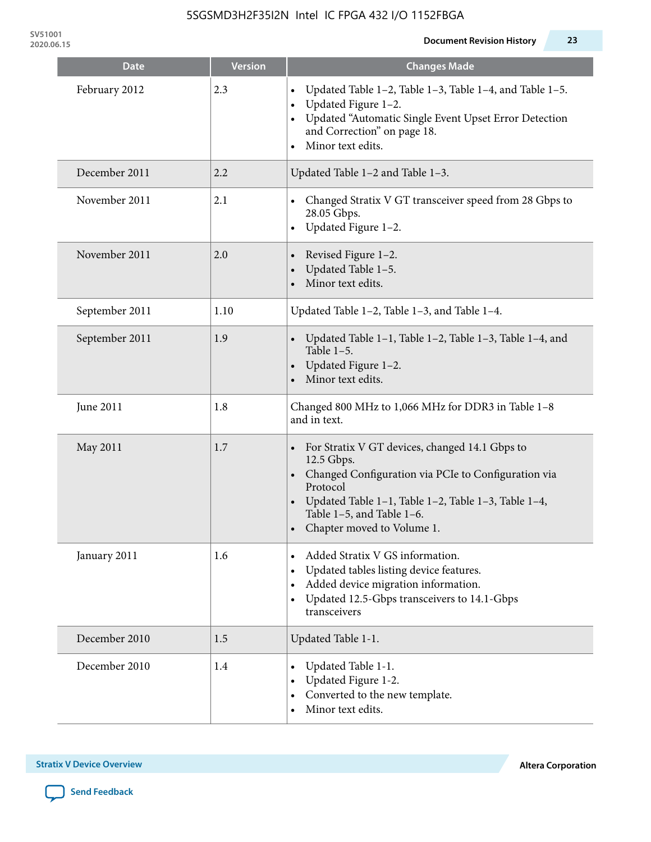**SV51001**

| <b>Date</b>    | <b>Version</b> | <b>Changes Made</b>                                                                                                                                                                                                                                   |
|----------------|----------------|-------------------------------------------------------------------------------------------------------------------------------------------------------------------------------------------------------------------------------------------------------|
| February 2012  | 2.3            | Updated Table 1-2, Table 1-3, Table 1-4, and Table 1-5.<br>$\bullet$<br>Updated Figure 1-2.<br>Updated "Automatic Single Event Upset Error Detection<br>and Correction" on page 18.<br>Minor text edits.                                              |
| December 2011  | 2.2            | Updated Table 1-2 and Table 1-3.                                                                                                                                                                                                                      |
| November 2011  | 2.1            | Changed Stratix V GT transceiver speed from 28 Gbps to<br>28.05 Gbps.<br>Updated Figure 1-2.<br>$\bullet$                                                                                                                                             |
| November 2011  | 2.0            | Revised Figure 1-2.<br>Updated Table 1-5.<br>Minor text edits.                                                                                                                                                                                        |
| September 2011 | 1.10           | Updated Table 1-2, Table 1-3, and Table 1-4.                                                                                                                                                                                                          |
| September 2011 | 1.9            | Updated Table 1-1, Table 1-2, Table 1-3, Table 1-4, and<br>Table $1-5$ .<br>Updated Figure 1-2.<br>Minor text edits.                                                                                                                                  |
| June 2011      | 1.8            | Changed 800 MHz to 1,066 MHz for DDR3 in Table 1-8<br>and in text.                                                                                                                                                                                    |
| May 2011       | 1.7            | For Stratix V GT devices, changed 14.1 Gbps to<br>12.5 Gbps.<br>• Changed Configuration via PCIe to Configuration via<br>Protocol<br>Updated Table 1–1, Table 1–2, Table 1–3, Table 1–4,<br>Table 1-5, and Table 1-6.<br>• Chapter moved to Volume 1. |
| January 2011   | 1.6            | Added Stratix V GS information.<br>Updated tables listing device features.<br>Added device migration information.<br>$\bullet$<br>Updated 12.5-Gbps transceivers to 14.1-Gbps<br>$\bullet$<br>transceivers                                            |
| December 2010  | 1.5            | Updated Table 1-1.                                                                                                                                                                                                                                    |
| December 2010  | 1.4            | Updated Table 1-1.<br>Updated Figure 1-2.<br>Converted to the new template.<br>Minor text edits.                                                                                                                                                      |

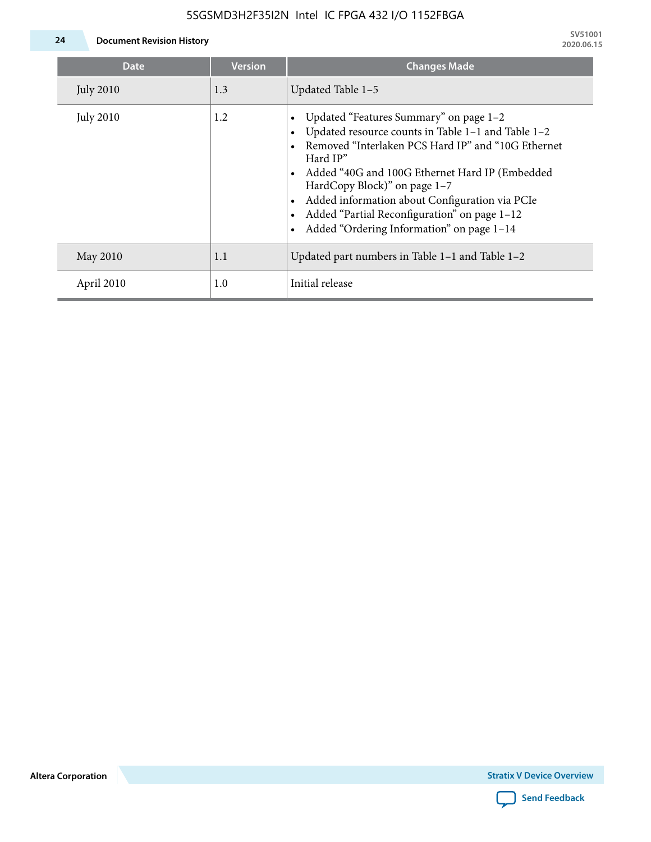

**24 Document Revision History**

| <b>Date</b>      | <b>Version</b> | <b>Changes Made</b>                                                                                                                                                                                                                                                                                                                                                                             |
|------------------|----------------|-------------------------------------------------------------------------------------------------------------------------------------------------------------------------------------------------------------------------------------------------------------------------------------------------------------------------------------------------------------------------------------------------|
| <b>July 2010</b> | 1.3            | Updated Table 1-5                                                                                                                                                                                                                                                                                                                                                                               |
| <b>July 2010</b> | 1.2            | Updated "Features Summary" on page 1-2<br>Updated resource counts in Table 1-1 and Table 1-2<br>Removed "Interlaken PCS Hard IP" and "10G Ethernet<br>Hard IP"<br>Added "40G and 100G Ethernet Hard IP (Embedded<br>HardCopy Block)" on page 1-7<br>Added information about Configuration via PCIe<br>Added "Partial Reconfiguration" on page 1-12<br>Added "Ordering Information" on page 1-14 |
| May 2010         | 1.1            | Updated part numbers in Table $1-1$ and Table $1-2$                                                                                                                                                                                                                                                                                                                                             |
| April 2010       | 1.0            | Initial release                                                                                                                                                                                                                                                                                                                                                                                 |

**Altera Corporation**